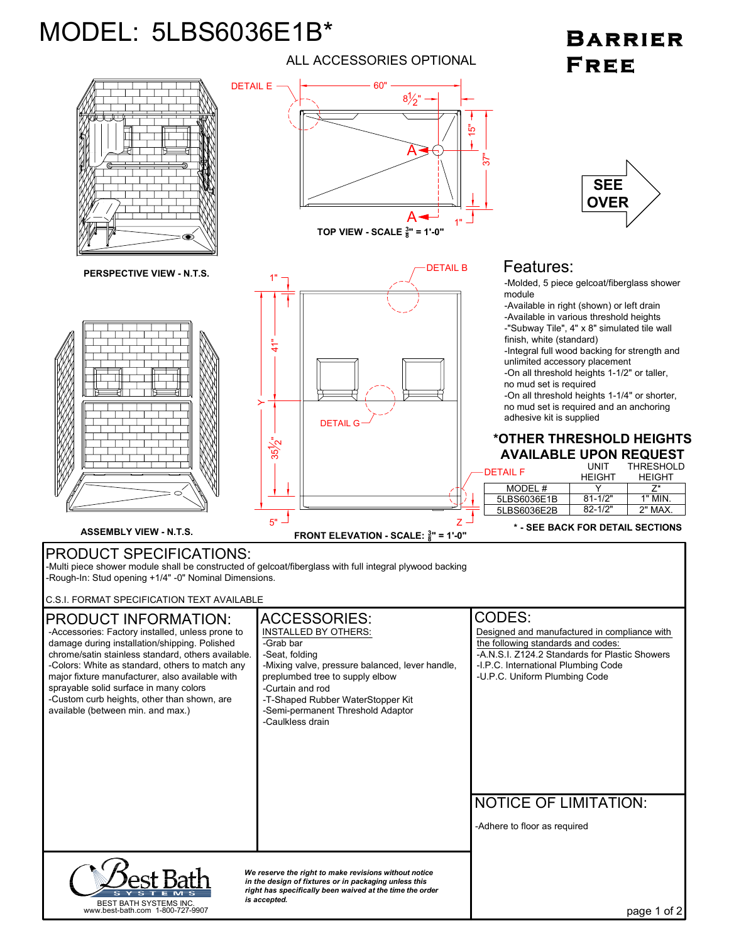## MODEL: 5LBS6036E1B\*

## ALL ACCESSORIES OPTIONAL

## **BARRIER** FREE



page 1 of 2